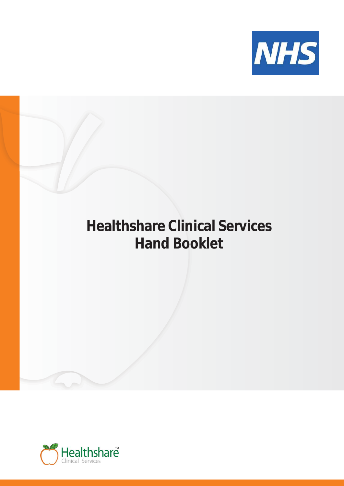

# **Healthshare Clinical Services Hand Booklet**

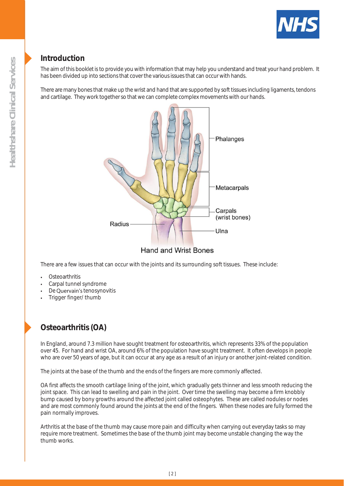

### **Introduction**

The aim of this booklet is to provide you with information that may help you understand and treat your hand problem. It has been divided up into sections that cover the various issues that can occur with hands.

There are many bones that make up the wrist and hand that are supported by soft tissues including ligaments, tendons and cartilage. They work together so that we can complete complex movements with our hands.



There are a few issues that can occur with the joints and its surrounding soft tissues. These include:

- **Osteoarthritis**
- Carpal tunnel syndrome
- De Quervain's tenosynovitis
- Trigger finger/ thumb

# **Osteoarthritis (OA)**

In England, around 7.3 million have sought treatment for osteoarthritis, which represents 33% of the population over 45. For hand and wrist OA, around 6% of the population have sought treatment. It often develops in people who are over 50 years of age, but it can occur at any age as a result of an injury or another joint-related condition.

The joints at the base of the thumb and the ends of the fingers are more commonly affected.

OA first affects the smooth cartilage lining of the joint, which gradually gets thinner and less smooth reducing the joint space. This can lead to swelling and pain in the joint. Over time the swelling may become a firm knobbly bump caused by bony growths around the affected joint called osteophytes. These are called nodules or nodes and are most commonly found around the joints at the end of the fingers. When these nodes are fully formed the pain normally improves.

Arthritis at the base of the thumb may cause more pain and difficulty when carrying out everyday tasks so may require more treatment. Sometimes the base of the thumb joint may become unstable changing the way the thumb works.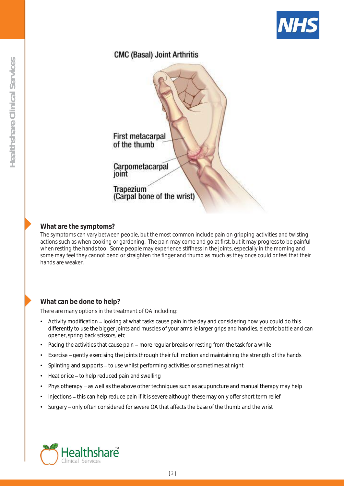

### **CMC (Basal) Joint Arthritis**



### **What are the symptoms?**

The symptoms can vary between people, but the most common include pain on gripping activities and twisting actions such as when cooking or gardening. The pain may come and go at first, but it may progress to be painful when resting the hands too. Some people may experience stiffness in the joints, especially in the morning and some may feel they cannot bend or straighten the finger and thumb as much as they once could or feel that their hands are weaker.

### **What can be done to help?**

There are many options in the treatment of OA including:

- Activity modification looking at what tasks cause pain in the day and considering how you could do this differently to use the bigger joints and muscles of your arms ie larger grips and handles, electric bottle and can opener, spring back scissors, etc
- Pacing the activities that cause pain more regular breaks or resting from the task for a while
- Exercise gently exercising the joints through their full motion and maintaining the strength of the hands
- Splinting and supports to use whilst performing activities or sometimes at night
- Heat or ice to help reduced pain and swelling
- Physiotherapy as well as the above other techniques such as acupuncture and manual therapy may help
- Injections this can help reduce pain if it is severe although these may only offer short term relief
- Surgery only often considered for severe OA that affects the base of the thumb and the wrist

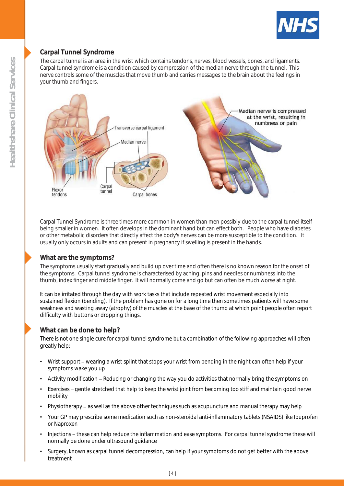

### **Carpal Tunnel Syndrome**

The carpal tunnel is an area in the wrist which contains tendons, nerves, blood vessels, bones, and ligaments. Carpal tunnel syndrome is a condition caused by compression of the median nerve through the tunnel. This nerve controls some of the muscles that move thumb and carries messages to the brain about the feelings in your thumb and fingers.



Carpal Tunnel Syndrome is three times more common in women than men possibly due to the carpal tunnel itself being smaller in women. It often develops in the dominant hand but can effect both. People who have diabetes or other metabolic disorders that directly affect the body's nerves can be more susceptible to the condition. It usually only occurs in adults and can present in pregnancy if swelling is present in the hands.

### **What are the symptoms?**

The symptoms usually start gradually and build up over time and often there is no known reason for the onset of the symptoms. Carpal tunnel syndrome is characterised by aching, pins and needles or numbness into the thumb, index finger and middle finger. It will normally come and go but can often be much worse at night.

It can be irritated through the day with work tasks that include repeated wrist movement especially into sustained flexion (bending). If the problem has gone on for a long time then sometimes patients will have some weakness and wasting away (atrophy) of the muscles at the base of the thumb at which point people often report difficulty with buttons or dropping things.

#### **What can be done to help?**

There is not one single cure for carpal tunnel syndrome but a combination of the following approaches will often greatly help:

- Wrist support wearing a wrist splint that stops your wrist from bending in the night can often help if your symptoms wake you up
- Activity modification Reducing or changing the way you do activities that normally bring the symptoms on
- Exercises gentle stretched that help to keep the wrist joint from becoming too stiff and maintain good nerve mobility
- Physiotherapy as well as the above other techniques such as acupuncture and manual therapy may help
- Your GP may prescribe some medication such as non-steroidal anti-inflammatory tablets (NSAIDS) like Ibuprofen or Naproxen
- Injections these can help reduce the inflammation and ease symptoms. For carpal tunnel syndrome these will normally be done under ultrasound guidance
- Surgery, known as carpal tunnel decompression, can help if your symptoms do not get better with the above treatment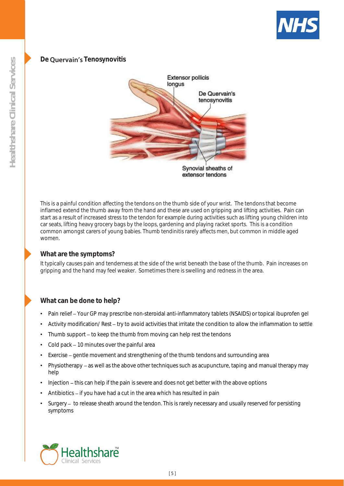

### De **Quervain's** Tenosynovitis



This is a painful condition affecting the tendons on the thumb side of your wrist. The tendons that become inflamed extend the thumb away from the hand and these are used on gripping and lifting activities. Pain can start as a result of increased stress to the tendon for example during activities such as lifting young children into car seats, lifting heavy grocery bags by the loops, gardening and playing racket sports. This is a condition common amongst carers of young babies. Thumb tendinitis rarely affects men, but common in middle aged women.

#### **What are the symptoms?**

It typically causes pain and tenderness at the side of the wrist beneath the base of the thumb. Pain increases on gripping and the hand may feel weaker. Sometimes there is swelling and redness in the area.

### **What can be done to help?**

- Pain relief Your GP may prescribe non-steroidal anti-inflammatory tablets (NSAIDS) or topical ibuprofen gel
- Activity modification/ Rest try to avoid activities that irritate the condition to allow the inflammation to settle
- Thumb support to keep the thumb from moving can help rest the tendons
- Cold pack 10 minutes over the painful area
- Exercise gentle movement and strengthening of the thumb tendons and surrounding area
- Physiotherapy as well as the above other techniques such as acupuncture, taping and manual therapy may help
- Injection this can help if the pain is severe and does not get better with the above options
- Antibiotics if you have had a cut in the area which has resulted in pain
- Surgery to release sheath around the tendon. This is rarely necessary and usually reserved for persisting symptoms

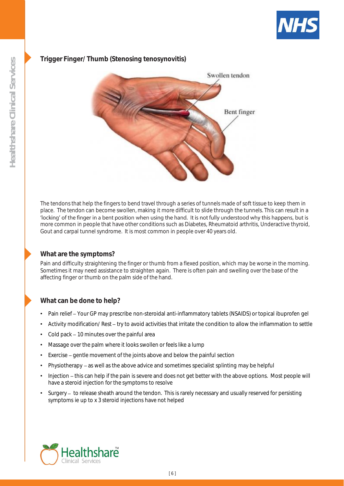

### **Trigger Finger/ Thumb (Stenosing tenosynovitis)**



The tendons that help the fingers to bend travel through a series of tunnels made of soft tissue to keep them in place. The tendon can become swollen, making it more difficult to slide through the tunnels. This can result in a<br>'locking' of the finger in a bent position when using the hand. It is not fully understood why this happens, more common in people that have other conditions such as Diabetes, Rheumatoid arthritis, Underactive thyroid, Gout and carpal tunnel syndrome. It is most common in people over 40 years old.

#### **What are the symptoms?**

Pain and difficulty straightening the finger or thumb from a flexed position, which may be worse in the morning. Sometimes it may need assistance to straighten again. There is often pain and swelling over the base of the affecting finger or thumb on the palm side of the hand.

#### **What can be done to help?**

- Pain relief Your GP may prescribe non-steroidal anti-inflammatory tablets (NSAIDS) or topical ibuprofen gel
- Activity modification/ Rest try to avoid activities that irritate the condition to allow the inflammation to settle
- Cold pack 10 minutes over the painful area
- Massage over the palm where it looks swollen or feels like a lump
- Exercise gentle movement of the joints above and below the painful section
- Physiotherapy as well as the above advice and sometimes specialist splinting may be helpful
- Injection this can help if the pain is severe and does not get better with the above options. Most people will have a steroid injection for the symptoms to resolve
- Surgery to release sheath around the tendon. This is rarely necessary and usually reserved for persisting symptoms ie up to x 3 steroid injections have not helped

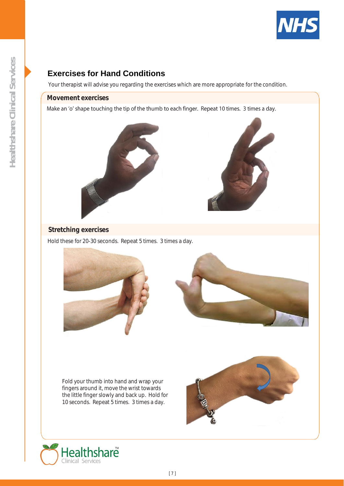

Your therapist will advise you regarding the exercises which are more appropriate for the condition.

#### **Movement exercises**

Make an 'o' shape touching the tip of the thumb to each finger. Repeat 10 times. 3 times a day.





#### **Stretching exercises**

Hold these for 20-30 seconds. Repeat 5 times. 3 times a day.



Fold your thumb into hand and wrap your fingers around it, move the wrist towards the little finger slowly and back up. Hold for 10 seconds. Repeat 5 times. 3 times a day.



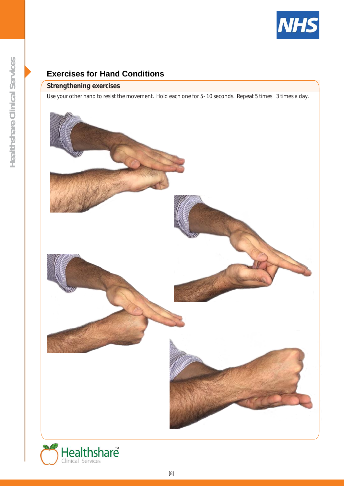

### **Strengthening exercises**

Use your other hand to resist the movement. Hold each one for 5- 10 seconds. Repeat 5 times. 3 times a day.



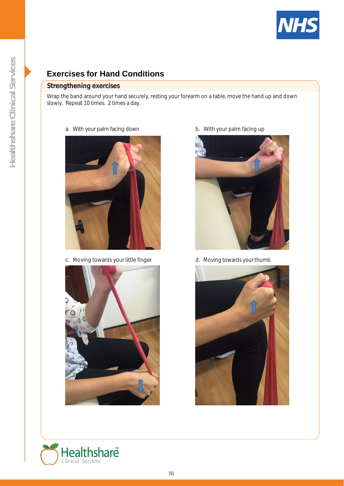

#### **Strengthening exercises**

Wrap the band around your hand securely, resting your forearm on a table, move the hand up and down slowly. Repeat 10 times. 2 times a day.

#### a. With your palm facing down b. With your palm facing up



c. Moving towards your little finger d. Moving towards your thumb







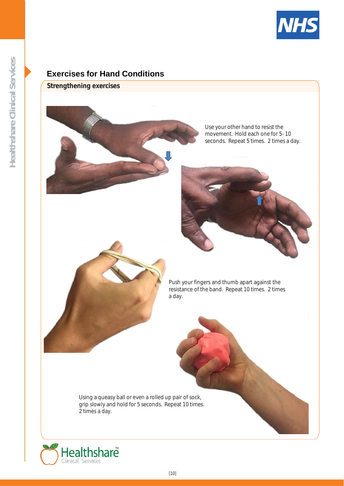

**Strengthening exercises**



Use your other hand to resist the movement. Hold each one for 5- 10 seconds. Repeat 5 times. 2 times a day.





Push your fingers and thumb apart against the resistance of the band. Repeat 10 times. 2 times a day.

Using a queasy ball or even a rolled up pair of sock, grip slowly and hold for 5 seconds. Repeat 10 times. 2 times a day.

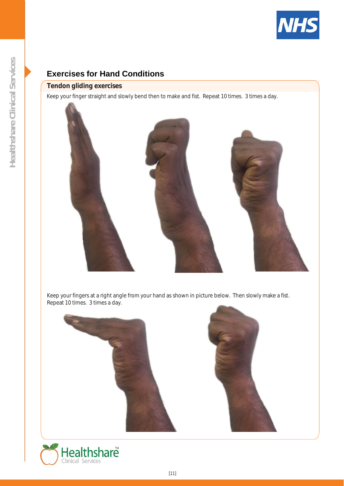

### **Tendon gliding exercises**

Keep your finger straight and slowly bend then to make and fist. Repeat 10 times. 3 times a day.



Keep your fingers at a right angle from your hand as shown in picture below. Then slowly make a fist. Repeat 10 times. 3 times a day.